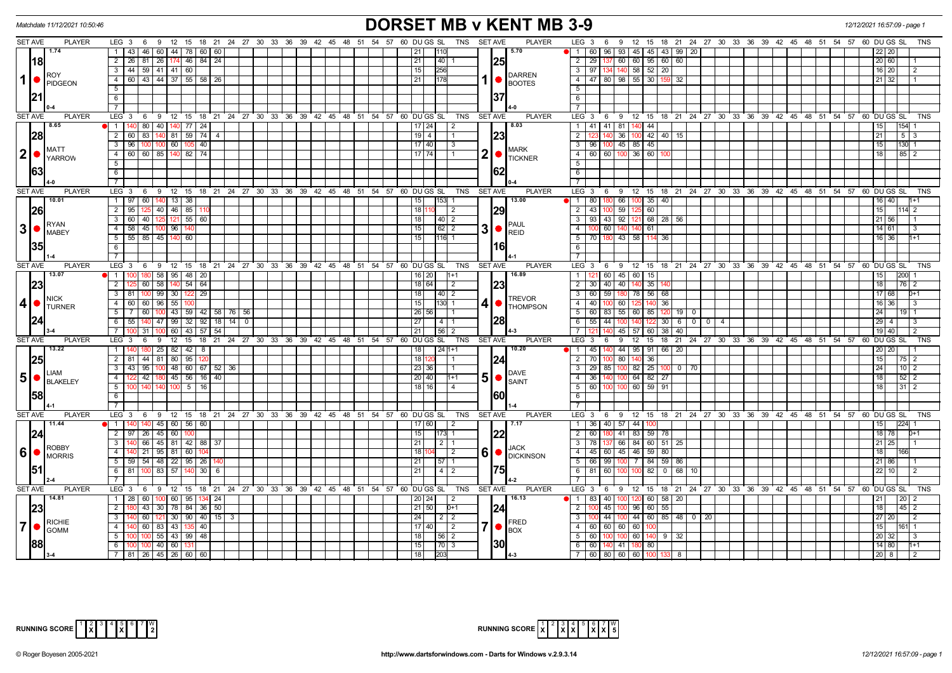| <b>DORSET MB v KENT MB 3-9</b><br>Matchdate 11/12/2021 10:50:46<br>12/12/2021 16:57:09 - page 1 |                                                                                        |                                                                             |                                                                                        |                                   |  |  |  |  |  |  |
|-------------------------------------------------------------------------------------------------|----------------------------------------------------------------------------------------|-----------------------------------------------------------------------------|----------------------------------------------------------------------------------------|-----------------------------------|--|--|--|--|--|--|
| <b>SET AVE</b><br><b>PLAYER</b>                                                                 | LEG 3 6 9 12 15 18 21 24 27 30 33 36 39 42 45 48 51 54 57 60 DUGS SL TNS SETAVE        | <b>PLAYER</b>                                                               | LEG <sub>3</sub><br>6 9 12 15 18 21 24 27 30 33 36 39 42 45 48 51 54 57 60 DUGS SL     | <b>TNS</b>                        |  |  |  |  |  |  |
| 1.74                                                                                            | 1   43   46   60   44   78   60   60                                                   | 5.70<br>  21<br>110                                                         | 96 93 45 45 43 99 20<br>$\blacksquare$<br>60                                           | 22   20                           |  |  |  |  |  |  |
| <b>18</b>                                                                                       | 26   81   26   174   46   84   24<br>$\overline{2}$                                    | 21<br>40<br> 25                                                             | $2 \mid 29$<br>137 60 60 95 60 60                                                      | 20 60                             |  |  |  |  |  |  |
| <b>ROY</b>                                                                                      | 3   44   59   41   41   60                                                             | 15<br>256<br><b>DARREN</b>                                                  | $3 \mid 97$<br>134 140 58 52 20                                                        | 16   20                           |  |  |  |  |  |  |
| $1 \nvert \nvert$ PIDGEON                                                                       | 60 43 44 37 55 58<br>4 I<br>26                                                         | $\overline{21}$<br>178<br><b>BOOTES</b>                                     | $\overline{4}$<br>80 98 55<br>30 159 32<br>47 I                                        | 21   32                           |  |  |  |  |  |  |
|                                                                                                 | 5                                                                                      |                                                                             | $\overline{5}$                                                                         |                                   |  |  |  |  |  |  |
|                                                                                                 | 6                                                                                      | 37                                                                          | 6                                                                                      |                                   |  |  |  |  |  |  |
|                                                                                                 | $\overline{7}$                                                                         |                                                                             |                                                                                        |                                   |  |  |  |  |  |  |
| <b>PLAYER</b><br><b>SET AVE</b>                                                                 | LEG 3<br>12 15 18 21 24 27 30 33 36 39 42 45 48 51 54 57<br>69                         | 60 DU GS SL<br>TNS<br><b>SET AVE</b><br><b>PLAYER</b>                       | LEG 3<br>6 9 12 15 18 21 24 27 30 33 36 39 42 45 48 51 54 57 60 DUGS SL                | <b>TNS</b>                        |  |  |  |  |  |  |
| 8.65                                                                                            | 1   140   80   40   140   77   24                                                      | 8.03<br> 17 24 <br>$\overline{2}$                                           | 41 41 81 140 44<br>$\overline{1}$<br>140                                               | 154                               |  |  |  |  |  |  |
| 28                                                                                              | 2 60 83 140 81 59 74<br>$\overline{4}$                                                 | $19$ $\overline{4}$<br> 23                                                  | 00 42 40 15<br>$\overline{2}$<br>36 <sup>1</sup><br>100 45 85 45                       | $5 \mid 3$<br>21                  |  |  |  |  |  |  |
| <b>MATT</b><br>2 •                                                                              | 96 100 100 60 105 40<br>$\overline{\mathbf{3}}$<br>4 60 60 85 140 82 74                | 17   40  <br>l 3<br><b>MARK</b>                                             | $\overline{\mathbf{3}}$<br>$\sqrt{96}$<br>$4$ 60 60 100 36 60                          | 15<br>130<br>18<br>$85$   2       |  |  |  |  |  |  |
| <b>YARROW</b>                                                                                   | 5                                                                                      | $\mathbf 2$<br>$17$ 74<br>$\bullet$ TICKNER                                 | $\overline{5}$                                                                         |                                   |  |  |  |  |  |  |
| 63                                                                                              | 6                                                                                      | 162                                                                         | $\overline{6}$                                                                         |                                   |  |  |  |  |  |  |
|                                                                                                 | $\overline{7}$                                                                         |                                                                             |                                                                                        |                                   |  |  |  |  |  |  |
| <b>SET AVE</b><br><b>PLAYER</b>                                                                 | LEG <sup>3</sup><br>69<br>12 15 18 21 24 27 30 33 36 39 42 45 48 51 54 57              | 60 DU GS SL<br>TNS<br><b>SET AVE</b><br><b>PLAYER</b>                       | LEG <sup>3</sup><br>9 12 15 18 21 24 27 30 33 36 39 42 45 48 51 54 57 60 DUGSSL<br>6   | <b>TNS</b>                        |  |  |  |  |  |  |
| 10.01                                                                                           | 1   97   60   140   13   38                                                            | 13.00<br>15<br>153                                                          | 180 66 100 35 40<br>180                                                                | $16$ 40                           |  |  |  |  |  |  |
| <b>26</b>                                                                                       | 2 95 125 40 46 85 1                                                                    | 29 <br>1811<br>$0 \mid 2$                                                   | 60<br>$100$ 59<br>$2 \mid 43 \mid$                                                     | 15                                |  |  |  |  |  |  |
|                                                                                                 | 3   60   40   125   121   55   60                                                      | 18<br> 40 2                                                                 | $3$   93   43   92   121   68   28   56                                                | 21 56                             |  |  |  |  |  |  |
|                                                                                                 | 4 58 45 100 96 14                                                                      | PAUL<br>3<br>15<br>$62 \mid 2$                                              | $\overline{4}$<br>60<br>61                                                             | 14 61                             |  |  |  |  |  |  |
|                                                                                                 | 55 85 45<br>5 <sup>5</sup><br>140<br>60                                                | $\big  \bullet \big _{\sf RED}$<br>15<br>116 1                              | $5\overline{)}$<br>180 43 58<br>114<br>36<br>- 70                                      | $16$ 36                           |  |  |  |  |  |  |
| 35                                                                                              | $6\overline{6}$                                                                        | 161                                                                         | 6                                                                                      |                                   |  |  |  |  |  |  |
|                                                                                                 | $\overline{7}$                                                                         |                                                                             | $\overline{7}$                                                                         |                                   |  |  |  |  |  |  |
| <b>SET AVE</b><br><b>PLAYER</b>                                                                 | LEG 3 6 9 12 15 18 21 24 27 30 33 36 39 42 45 48 51 54 57 60 DUGS SL                   | <b>PLAYER</b><br>TNS<br><b>SET AVE</b>                                      | LEG <sub>3</sub><br>6 9 12 15 18 21 24 27 30 33 36 39 42 45 48 51 54 57 60 DUGS SL     | <b>TNS</b>                        |  |  |  |  |  |  |
| 13.07                                                                                           | 180 58 95 48 20<br>1 100                                                               | 16.89<br>16 20<br>$1 + 1$                                                   | 60 45 60<br>$\overline{1}$<br>15                                                       | 15                                |  |  |  |  |  |  |
| 23                                                                                              | 2<br>60 58<br>140 54 64                                                                | 23 <br>18 64<br>2                                                           | 2 30<br>40 40 140<br>35                                                                | 18<br>76                          |  |  |  |  |  |  |
|                                                                                                 | 30   122   29<br>3   81  <br>$100$ 99                                                  | 18 <br>$40 \mid 2$                                                          | $3 \mid 60$<br>59 180 78 56 68                                                         | 17 68                             |  |  |  |  |  |  |
| <b>NICK</b><br>$4\bullet$<br><b>TURNER</b>                                                      | 55 100<br>4 60 60 96                                                                   | <b>TREVOR</b><br> 15 <br>130 1<br><b>THOMPSON</b>                           | $4 \mid 40$<br>100 60 125<br>140 36                                                    | 16 36                             |  |  |  |  |  |  |
|                                                                                                 | 43   59   42   58   76   56<br>51<br>  7  <br>60   100                                 | 26 56                                                                       | 60   83   55   60   85   120   19   0<br>5                                             | 24                                |  |  |  |  |  |  |
| 24                                                                                              | 6 55 140 47 99 32 92<br>  18   14   0                                                  | 28 <br> 27 <br>$14$   1                                                     | 6 55 44 100 140<br>122 30 6 0 0 1                                                      | 29   4                            |  |  |  |  |  |  |
|                                                                                                 | $\overline{7}$<br>31   100   60   43   57   54                                         | 21<br> 56 2                                                                 | $\overline{7}$<br>140 I<br>45 57 60 38 40                                              | 19 40                             |  |  |  |  |  |  |
| <b>SET AVE</b><br><b>PLAYER</b>                                                                 | LEG <sub>3</sub><br>6<br>$12 \quad 15$<br>18 21 24 27 30 33 36 39 42 45 48<br>- 9      | <b>SET AVE</b><br><b>PLAYER</b><br>51<br>54 57<br>60 DU GS SL<br><b>TNS</b> | LEG <sub>3</sub><br>9<br>12<br>15<br>18 21 24 27 30 33 36 39 42 45 48 51<br>- 6        | $54$ 57 60<br>DU GS               |  |  |  |  |  |  |
| 13.22                                                                                           | 1   140   180   25   82   42   8                                                       | 10.20<br>  18  <br>$24 1+1$                                                 | 140 44 95 91 66 20<br>$\blacksquare$<br>$45 \vert$                                     | 20   20                           |  |  |  |  |  |  |
| <b>25</b>                                                                                       | 80   95 <br>$2 \mid 81$<br>44 81                                                       | 18 <br> 24                                                                  | $2 \mid 70$<br>80<br>36<br>100 l                                                       | 15<br>75                          |  |  |  |  |  |  |
| <b>LIAM</b>                                                                                     | $-43$<br>48 60 67 52 36<br>95 100<br>3                                                 | 23 36<br>DAVE                                                               | $85$ 100 $82$ 25 100 0 70<br>$3 \mid 29$                                               | 24<br>$10$   2                    |  |  |  |  |  |  |
| $5 \nvert \nabla$ BLAKELEY                                                                      | 45 56 16 40<br>4<br>122<br>42   180                                                    | 5<br> 20 40 <br>$1 + 1$<br>$\big \bullet\big _{\sf SAINT}$                  | 4 36 140 100 64 82 27                                                                  | 18 <sup>1</sup><br>$52$   2       |  |  |  |  |  |  |
|                                                                                                 | $100$ 5 16<br>5 <sup>1</sup><br>100 140 140                                            | 18 16 1                                                                     | 5<br>100 100 60 59 91<br>$-60$                                                         | 18 <sup>1</sup><br>$31$   2       |  |  |  |  |  |  |
| 58                                                                                              | 6                                                                                      | 160                                                                         | $\overline{6}$                                                                         |                                   |  |  |  |  |  |  |
|                                                                                                 | $\overline{7}$                                                                         |                                                                             |                                                                                        |                                   |  |  |  |  |  |  |
| <b>PLAYER</b><br><b>SET AVE</b>                                                                 | LEG 3 6 9 12 15 18 21 24 27 30 33 36 39 42 45 48 51 54 57                              | 60 DUGS SL<br><b>TNS</b><br><b>PLAYER</b><br><b>SET AVE</b>                 | LEG <sup>3</sup><br>6 9 12 15 18 21 24 27 30 33 36 39 42 45 48 51 54 57 60 DUGS SL     | <b>TNS</b>                        |  |  |  |  |  |  |
| 11.44                                                                                           | 1 140 140 45 60 56 60                                                                  | $17 60 $ 2<br>$\sqrt{7.17}$                                                 | 1 36 40 57 44<br>100                                                                   | 15<br> 224                        |  |  |  |  |  |  |
| 24                                                                                              | 2 97 26 45 60                                                                          | 15<br> 22 <br> 173  1                                                       | $\overline{2}$<br>180 41 83 59 78<br>- 60                                              | 18 78                             |  |  |  |  |  |  |
|                                                                                                 | 3   140   66   45   81   42   88   37                                                  | 21<br>$2\mid 1$<br><b>JACK</b>                                              | $3$   78   137   66   84   60   51   25                                                | $21 \mid 25$                      |  |  |  |  |  |  |
| $\mathbf{6}$ $\bullet$ $\mathbf{R}_{\text{MDRRS}}$                                              | 4<br>140 21 95 81 60                                                                   | 6<br>18<br>2<br><b>O</b> DICKINSON                                          | 4 45 60 45 46 59 80                                                                    | 18                                |  |  |  |  |  |  |
| 51                                                                                              | $5$ 59 54 48 22 95 26                                                                  | $\overline{21}$<br>57                                                       | $5 \ 66$<br>$991100$ 7 84 59 86                                                        | $21$ 86                           |  |  |  |  |  |  |
|                                                                                                 | 57<br>$6 \mid 81$<br>$100$ 83<br>$140 \ 30$<br>6                                       | l75I<br> 21<br>$4 \mid 2$                                                   | 82 0 68<br>6 81 60 100 100<br>10                                                       | 22                                |  |  |  |  |  |  |
| <b>SET AVE</b><br><b>PLAYER</b>                                                                 | $\overline{7}$<br>LEG 3 6 9 12 15 18 21 24 27 30 33 36 39 42 45 48 51 54 57 60 DUGS SL | <b>PLAYER</b><br>TNS SET AVE                                                | $\overline{7}$<br>LEG 3 6 9 12 15 18 21 24 27 30 33 36 39 42 45 48 51 54 57 60 DUGS SL | <b>TNS</b>                        |  |  |  |  |  |  |
| 14.81                                                                                           |                                                                                        | 16.13                                                                       |                                                                                        |                                   |  |  |  |  |  |  |
|                                                                                                 | $1 \mid 28 \mid$<br>60 100 60 95 134 24<br>$\overline{2}$<br>180 43 30 78 84 36 50     | 20   24  <br>$\vert$ 2<br>$D+1$                                             | 40 100 120 60 58 20<br>1 83<br>$2 \quad 100$<br>45 100 96 60 55                        | 21<br>20 <sub>1</sub><br>18<br>45 |  |  |  |  |  |  |
| 23                                                                                              | $30$   90   40   15   3<br>3<br>60                                                     | 24 <br>21 50<br>$\overline{24}$<br>$2 \mid 2$                               | $\overline{\mathbf{3}}$<br>44 100 44 60 85 48 0 20                                     | 27 20                             |  |  |  |  |  |  |
| $7$ $\circ$ $\left  \circ \right $ RICHIE                                                       | $\overline{4}$                                                                         | FRED                                                                        |                                                                                        |                                   |  |  |  |  |  |  |
|                                                                                                 | 60 83 43 135 40<br>$100 \mid 55 \mid 43 \mid 99 \mid 48$                               | $\vert 17 \vert 40 \vert$ 2<br><b>BOX</b><br>18                             | 4 60<br>60 60 60<br>100                                                                | 15<br>161                         |  |  |  |  |  |  |
| 88                                                                                              | 100 100 40 60 13<br>6                                                                  | 56 2<br> 30 <br> 15 <br>70 3                                                | 5 <sup>5</sup><br>100 100 60<br>140 9 32<br>60<br>6 60 140 41 180 80                   | 20 32<br>14 80                    |  |  |  |  |  |  |
|                                                                                                 | 7 81 26 45 26 60 60                                                                    | 18 <br>203                                                                  | 7 60 80 60 60 100 133 8                                                                | 120 I 8 I                         |  |  |  |  |  |  |
|                                                                                                 |                                                                                        |                                                                             |                                                                                        |                                   |  |  |  |  |  |  |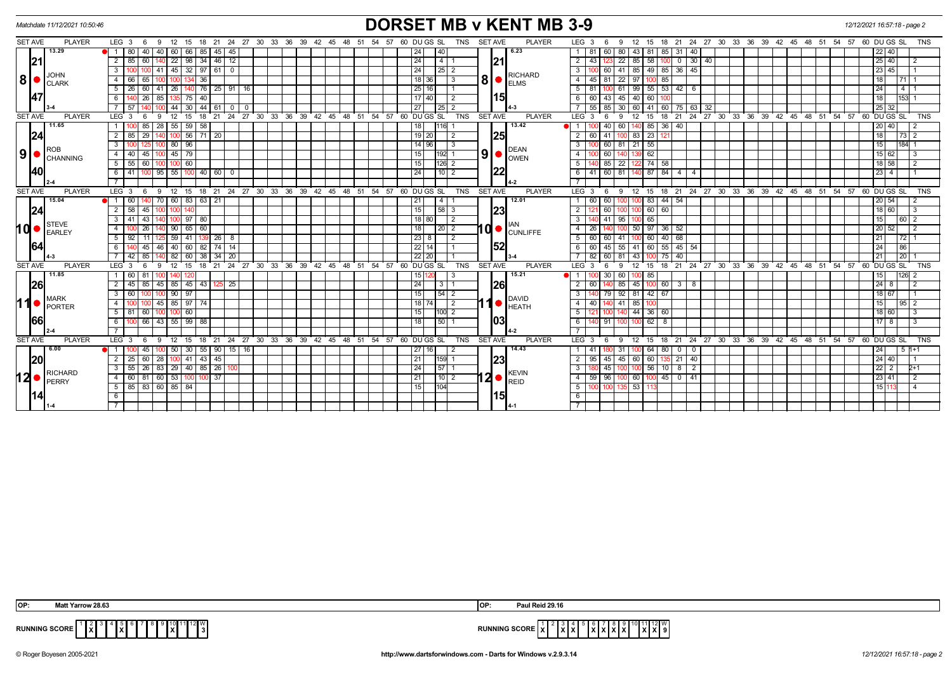|                                            | Matchdate 11/12/2021 10:50:46 | <b>DORSET MB v KENT MB 3-9</b><br>12/12/2021 16:57:18 - page 2                                                  |                                                                                                                                                                                          |                                                  |  |  |  |  |  |  |
|--------------------------------------------|-------------------------------|-----------------------------------------------------------------------------------------------------------------|------------------------------------------------------------------------------------------------------------------------------------------------------------------------------------------|--------------------------------------------------|--|--|--|--|--|--|
| <b>SET AVE</b>                             | <b>PLAYER</b>                 | $LEG_36$<br>18  21  24  27  30  33  36  39  42  45  48  51  54  57  60  DU GS  SL  TNS<br>12 15<br>9            | <b>SET AVE</b><br><b>PLAYER</b><br>LEG <sub>3</sub><br>12  15  18  21  24  27  30  33  36  39  42  45  48  51  54  57  60  DUGS SL<br>6<br>9                                             | <b>TNS</b>                                       |  |  |  |  |  |  |
| 21                                         | 13.29                         | 40<br>40<br>  60  <br>66<br>45   45<br>$\blacksquare$<br>l 80<br>  85                                           | 6.23<br>85 31<br>40<br>24<br>43<br>60<br>80<br>81                                                                                                                                        | 22 40                                            |  |  |  |  |  |  |
|                                            |                               | 98<br>34<br>$146$ 12<br>60<br>22<br>2                                                                           | 21 <br>24<br>58<br>30 <sup>1</sup><br>l 4<br>$\overline{2}$<br>85<br>40<br>43<br>22<br>$\overline{0}$                                                                                    | 25 40 <br>$\overline{2}$                         |  |  |  |  |  |  |
|                                            |                               | 45 32 97 61 0<br>3<br>41<br>100                                                                                 | 24<br>60 41 85 49 85 36<br>45<br>3 I                                                                                                                                                     | 23 45                                            |  |  |  |  |  |  |
| 8 <br><b>CLARK</b><br> 47                  |                               | 36<br>$\overline{4}$<br>65<br>66                                                                                | RICHARD<br>$8$ $\bullet$ $\overline{\phantom{a}}$ $\overline{\phantom{a}}$ $\overline{\phantom{a}}$ $\overline{\phantom{a}}$<br>18 36<br>81<br>85<br>  3<br>4 I<br>45<br>22<br>$97 \mid$ | 18<br> 71 1                                      |  |  |  |  |  |  |
|                                            |                               | $5 \mid 26 \mid 60 \mid 41 \mid 26 \mid 140 \mid 76 \mid 25 \mid 91 \mid 16$                                    | 25 16 <br>$100 \t61 \t99 \t55 \t53 \t42 \t6$<br>$5 \quad 81$                                                                                                                             | $\overline{24}$<br>14 1                          |  |  |  |  |  |  |
|                                            |                               | $\overline{26}$<br>85<br>40<br>75                                                                               | 15<br>$17$ 40<br>6   60<br>43<br>45<br>40 60<br>$\overline{2}$                                                                                                                           | 18<br>153 1                                      |  |  |  |  |  |  |
|                                            |                               | $44 \mid 30 \mid$<br>$144$ 61 0 0                                                                               | 27<br>$\sqrt{25}$ 2<br>85<br>60 75 63<br>55<br>30<br>60 41<br>32                                                                                                                         | 25 32                                            |  |  |  |  |  |  |
| <b>SET AVE</b>                             | <b>PLAYER</b>                 | ່ 27<br>30 33 36 39 42 45 48 51 54 57 60 DUGS SL<br>LEG <sub>3</sub><br>12<br>24<br>- 6<br>-9<br>15<br>18<br>21 | <b>PLAYER</b><br><b>TNS</b><br><b>SET AVE</b><br>LEG <sup>3</sup><br>18<br>24<br>$27 \quad 30 \quad 33$<br>-9<br>12<br>15<br>21<br>6                                                     | 36 39 42 45 48 51 54 57 60 DUGS SL<br><b>TNS</b> |  |  |  |  |  |  |
|                                            | 11.65                         | 28<br>$55 \ 59 \ 58$<br>85<br>1 1 1 1 0 0                                                                       | 18<br>13.42<br>40 60<br>140 85<br>$36 \mid 40$<br>1 <sup>1</sup>                                                                                                                         | 20 40 <br>2                                      |  |  |  |  |  |  |
| 24                                         |                               | 56 71 20<br>$\overline{2}$<br>29                                                                                | $19$ 20<br>25<br>$83$ 23<br>$\overline{2}$<br>41                                                                                                                                         | 18<br> 73 2                                      |  |  |  |  |  |  |
|                                            |                               | $80$   96<br>3                                                                                                  | 55<br>14 96<br>$\overline{3}$<br>60<br>21<br>81                                                                                                                                          | 184 1<br>15                                      |  |  |  |  |  |  |
| 91 <sup>2</sup>                            | <b>ROB</b><br>CHANNING        | 45<br>$45$ 79<br>$\overline{4}$<br> 40                                                                          | <b>DEAN</b><br>$\vert 9 \vert$ $\bullet$ $\vert_{\textnormal{\tiny{OWEN}}}^{\textnormal{\tiny{UCN}}}$<br>$139$ 62<br>15<br>60<br>$192$ 1<br>$-4$                                         | 15 62 <br>3                                      |  |  |  |  |  |  |
|                                            |                               | 60<br>5<br>55<br>60                                                                                             | 15<br>$122$ 74<br>$126$ 2<br>5 <sup>1</sup><br>85<br>58<br>22                                                                                                                            | 18 58<br>$\overline{2}$                          |  |  |  |  |  |  |
| 40                                         |                               | $6$   41   100   95   55   100   40   60   0                                                                    | 60 81 140 87 84 4<br>24<br>$6 \mid 41$<br>$\overline{4}$<br>10   2                                                                                                                       | $\overline{23}$ 4                                |  |  |  |  |  |  |
|                                            |                               |                                                                                                                 |                                                                                                                                                                                          |                                                  |  |  |  |  |  |  |
| <b>SET AVE</b>                             | <b>PLAYER</b>                 | 18 21 24 27 30 33 36 39 42 45 48 51 54 57 60 DUGS SL<br>LEG <sup>3</sup><br>12 15<br>6<br>9                     | <b>PLAYER</b><br>18 21 24 27 30 33 36 39 42 45 48 51 54 57 60 DUGS SL<br><b>TNS</b><br><b>SET AVE</b><br>LEG <sup>3</sup><br>- 9<br>12<br>15<br>- 6                                      | <b>TNS</b>                                       |  |  |  |  |  |  |
|                                            | 15.04                         | 60 83<br>63<br>21<br>70                                                                                         | 12.01<br>83<br>44<br>54<br>21<br>$\overline{4}$<br>60<br>60                                                                                                                              | 20 54 <br>-2                                     |  |  |  |  |  |  |
| 24                                         |                               | 58<br>45<br>2                                                                                                   | 23<br>15<br>60<br> 58 3<br>2<br>60<br>60                                                                                                                                                 | $18 60 $<br>$\overline{3}$                       |  |  |  |  |  |  |
|                                            | <b>STEVE</b>                  | $\overline{3}$<br>43<br>97<br>80                                                                                | 18 80<br>65<br>3 <sup>1</sup><br>41<br>95<br>$\overline{2}$<br><b>IAN</b>                                                                                                                | 15<br>60 2                                       |  |  |  |  |  |  |
| 10 <sub>o</sub>                            | <b>EARLEY</b>                 | 65<br>26<br>90<br>60<br>$\overline{4}$                                                                          | $10$ $\bullet$ $\mathsf{CUNLIFFE}$<br>18<br>$\overline{2}$<br>50<br>97<br>$36$ 52<br>4<br>26                                                                                             | 20 52 <br>$\overline{2}$                         |  |  |  |  |  |  |
|                                            |                               | 5<br>59 <sub>1</sub><br>26 8<br>11<br>41                                                                        | $\overline{23 8}$<br>$40 \ 68$<br>2<br>5 60<br>60<br>60<br>41                                                                                                                            | 21                                               |  |  |  |  |  |  |
| 64                                         |                               | 60<br>82<br>74 14<br>45<br>40 I<br>6<br>46                                                                      | 52<br>22 14<br>45<br>60<br>$55 \mid 45$<br>54<br>61<br>60<br>55<br>41 <sup>1</sup>                                                                                                       | 86 <br>24                                        |  |  |  |  |  |  |
|                                            |                               | 82<br>60<br>38<br>$34 \mid 20$<br>85<br>42 I                                                                    | $22$ 20<br>82<br>60<br>75<br>43<br>40<br>81                                                                                                                                              | 21<br>$\overline{20}$                            |  |  |  |  |  |  |
| <b>SET AVE</b>                             | <b>PLAYER</b>                 | 21 24 27 30 33 36<br>39 42 45 48 51 54 57<br>$LEG_3$<br>12<br>15<br>18<br>- 6                                   | 60 DU GS SL<br><b>TNS</b><br><b>SET AVE</b><br>18 21 24 27 30 33 36 39 42 45 48 51 54<br><b>PLAYER</b><br>LEG <sub>3</sub><br>15<br><sub>9</sub><br>12 <sup>2</sup>                      | $57.60$ DU GS SL<br><b>TNS</b>                   |  |  |  |  |  |  |
|                                            | 11.85                         | 81                                                                                                              | 15.21<br>30<br>15 1<br>85<br>60                                                                                                                                                          | 15<br>$ 126 $ 2                                  |  |  |  |  |  |  |
| 26                                         |                               | 45<br>85 45<br>125 25<br>2<br>85<br>43<br>45                                                                    | 26<br> 24 <br>2 <sup>1</sup><br>85<br>45<br>$100 \t60 \t3 \t8$<br>  3   1                                                                                                                | 24 <br>$\sqrt{2}$<br>8                           |  |  |  |  |  |  |
|                                            | <b>MARK</b>                   | 90   97<br>3<br>l 60 I<br>100                                                                                   | 15<br>$\overline{3}$<br>79 92 81 42 67<br>$54$ 2                                                                                                                                         | 18 67 <br>$\overline{1}$                         |  |  |  |  |  |  |
| 11                                         | PORTER                        | 85   97  <br>4<br>45<br>l 74                                                                                    | 1 <sup>o</sup> PAVID<br>18   74<br>2<br>41  <br>85<br>4<br>40                                                                                                                            | 15<br>$95$   2                                   |  |  |  |  |  |  |
|                                            |                               | 5   81   60<br>$100$ 60                                                                                         | 44 36 60<br>15<br>1100 2<br>5 I                                                                                                                                                          | 18 60 <br>$\vert$ 3                              |  |  |  |  |  |  |
| 66                                         |                               | $100$ 66<br>43<br>55   99   88<br>6                                                                             | 103<br>18<br><b>50 T</b><br>91<br>100 62<br>6 I<br>- 8                                                                                                                                   | $17$   8  <br>  3                                |  |  |  |  |  |  |
|                                            |                               |                                                                                                                 |                                                                                                                                                                                          |                                                  |  |  |  |  |  |  |
| <b>SET AVE</b>                             | <b>PLAYER</b>                 | $LEG \ 3$<br>21 24 27 30 33 36 39 42 45 48 51 54 57 60 DUGS SL<br>$12 \quad 15$<br>18<br>- 6                    | <b>SET AVE</b><br><b>PLAYER</b><br>$LEG \ 3$<br>21 24 27 30 33 36 39 42 45 48 51 54 57 60 DUGS SL<br>TNS<br>12<br>18<br>- 9<br>15                                                        | <b>TNS</b>                                       |  |  |  |  |  |  |
|                                            | 6.00                          | $1 -$<br>55<br>-90 I<br>16<br>45<br>50 <sub>1</sub><br>30<br>15                                                 | 14.43<br>64<br>27   16<br>80<br>$^{\circ}$<br>-31<br>$\mathbf{0}$                                                                                                                        | 24 <br>  5  1+1                                  |  |  |  |  |  |  |
| 20                                         |                               | $100$ 41 43 45<br>2 25 60 28                                                                                    | 23 <br>21<br>$135$ 21 40<br>159 1<br>$2 \mid 95$<br>45 45 60 60                                                                                                                          | $\sqrt{24 40 }$                                  |  |  |  |  |  |  |
| <b>RICHARD</b><br>12 <sup>,</sup><br>PERRY |                               | $29$ 40 85<br>$\overline{26}$<br>83<br>126 100<br>3<br>55                                                       | 45<br>56<br>24<br> 57 1<br>$\overline{3}$<br>$\overline{2}$<br>10 <sup>1</sup><br>8<br><b>KEVIN</b>                                                                                      | 22 2<br>$2+1$                                    |  |  |  |  |  |  |
|                                            |                               | $4$ 60 81 60 53 100 100 37                                                                                      | $12 \bullet  _{\sf RED}^{\sf KEVIN}$<br>21<br>$4$ 59 96 100 60 100 45 0 41<br>  10   2                                                                                                   | 23 41<br>$\overline{12}$                         |  |  |  |  |  |  |
|                                            | 5 85 83 60 85 84              | 15<br>53<br>l104l<br>5 I                                                                                        | 1511<br>$\overline{4}$                                                                                                                                                                   |                                                  |  |  |  |  |  |  |
|                                            |                               |                                                                                                                 | 15<br>6                                                                                                                                                                                  |                                                  |  |  |  |  |  |  |
|                                            |                               |                                                                                                                 |                                                                                                                                                                                          |                                                  |  |  |  |  |  |  |

| <b>OP</b> | <b>Matt</b><br>att Yarrow 28.63                               | 1OP         | Paul Reid 29.16                                                                          |
|-----------|---------------------------------------------------------------|-------------|------------------------------------------------------------------------------------------|
| UNNING    | 12 I V<br><b>ING SCORE</b><br> x <br>. <b>.</b><br>IXI<br>. . | <b>RUNN</b> | 12 V.<br><b><i>INC COOPE</i></b><br>IXIXI 9<br>$\cdots$<br>.<br>ן שאט סטוו<br>. .<br>. . |